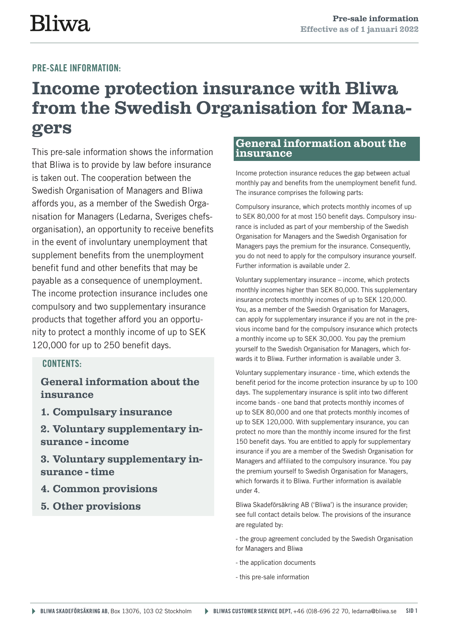# **Bliwa**

## PRE-SALE INFORMATION:

## **Income protection insurance with Bliwa from the Swedish Organisation for Managers**

This pre-sale information shows the information that Bliwa is to provide by law before insurance is taken out. The cooperation between the Swedish Organisation of Managers and Bliwa affords you, as a member of the Swedish Organisation for Managers (Ledarna, Sveriges chefsorganisation), an opportunity to receive benefits in the event of involuntary unemployment that supplement benefits from the unemployment benefit fund and other benefits that may be payable as a consequence of unemployment. The income protection insurance includes one compulsory and two supplementary insurance products that together afford you an opportunity to protect a monthly income of up to SEK 120,000 for up to 250 benefit days.

## CONTENTS:

**General information about the insurance**

**1. Compulsary insurance**

**2. Voluntary supplementary insurance - income**

**3. Voluntary supplementary insurance - time** 

**4. Common provisions**

**5. Other provisions**

## **General information about the insurance**

Income protection insurance reduces the gap between actual monthly pay and benefits from the unemployment benefit fund. The insurance comprises the following parts:

Compulsory insurance, which protects monthly incomes of up to SEK 80,000 for at most 150 benefit days. Compulsory insurance is included as part of your membership of the Swedish Organisation for Managers and the Swedish Organisation for Managers pays the premium for the insurance. Consequently, you do not need to apply for the compulsory insurance yourself. Further information is available under 2.

Voluntary supplementary insurance – income, which protects monthly incomes higher than SEK 80,000. This supplementary insurance protects monthly incomes of up to SEK 120,000. You, as a member of the Swedish Organisation for Managers, can apply for supplementary insurance if you are not in the previous income band for the compulsory insurance which protects a monthly income up to SEK 30,000. You pay the premium yourself to the Swedish Organisation for Managers, which forwards it to Bliwa. Further information is available under 3.

Voluntary supplementary insurance - time, which extends the benefit period for the income protection insurance by up to 100 days. The supplementary insurance is split into two different income bands - one band that protects monthly incomes of up to SEK 80,000 and one that protects monthly incomes of up to SEK 120,000. With supplementary insurance, you can protect no more than the monthly income insured for the first 150 benefit days. You are entitled to apply for supplementary insurance if you are a member of the Swedish Organisation for Managers and affiliated to the compulsory insurance. You pay the premium yourself to Swedish Organisation for Managers, which forwards it to Bliwa. Further information is available under 4.

Bliwa Skadeförsäkring AB ('Bliwa') is the insurance provider; see full contact details below. The provisions of the insurance are regulated by:

- the group agreement concluded by the Swedish Organisation for Managers and Bliwa

- the application documents
- this pre-sale information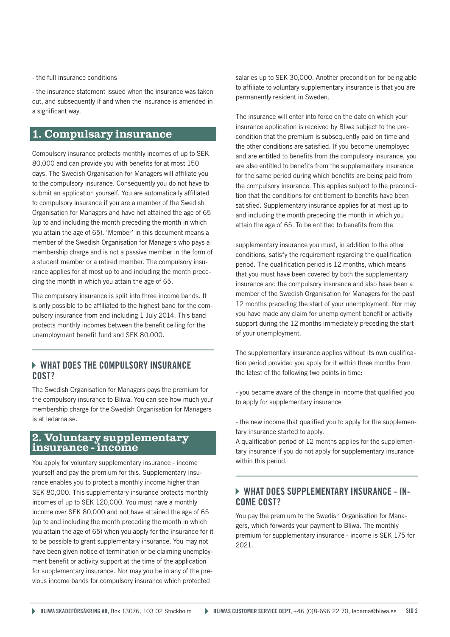- the full insurance conditions

- the insurance statement issued when the insurance was taken out, and subsequently if and when the insurance is amended in a significant way.

## **1. Compulsary insurance**

Compulsory insurance protects monthly incomes of up to SEK 80,000 and can provide you with benefits for at most 150 days. The Swedish Organisation for Managers will affiliate you to the compulsory insurance. Consequently you do not have to submit an application yourself. You are automatically affiliated to compulsory insurance if you are a member of the Swedish Organisation for Managers and have not attained the age of 65 (up to and including the month preceding the month in which you attain the age of 65). 'Member' in this document means a member of the Swedish Organisation for Managers who pays a membership charge and is not a passive member in the form of a student member or a retired member. The compulsory insurance applies for at most up to and including the month preceding the month in which you attain the age of 65.

The compulsory insurance is split into three income bands. It is only possible to be affiliated to the highest band for the compulsory insurance from and including 1 July 2014. This band protects monthly incomes between the benefit ceiling for the unemployment benefit fund and SEK 80,000.

## WHAT DOES THE COMPULSORY INSURANCE COST?

The Swedish Organisation for Managers pays the premium for the compulsory insurance to Bliwa. You can see how much your membership charge for the Swedish Organisation for Managers is at ledarna.se.

## **2. Voluntary supplementary insurance - income**

You apply for voluntary supplementary insurance - income yourself and pay the premium for this. Supplementary insurance enables you to protect a monthly income higher than SEK 80,000. This supplementary insurance protects monthly incomes of up to SEK 120,000. You must have a monthly income over SEK 80,000 and not have attained the age of 65 (up to and including the month preceding the month in which you attain the age of 65) when you apply for the insurance for it to be possible to grant supplementary insurance. You may not have been given notice of termination or be claiming unemployment benefit or activity support at the time of the application for supplementary insurance. Nor may you be in any of the previous income bands for compulsory insurance which protected

salaries up to SEK 30,000. Another precondition for being able to affiliate to voluntary supplementary insurance is that you are permanently resident in Sweden.

The insurance will enter into force on the date on which your insurance application is received by Bliwa subject to the precondition that the premium is subsequently paid on time and the other conditions are satisfied. If you become unemployed and are entitled to benefits from the compulsory insurance, you are also entitled to benefits from the supplementary insurance for the same period during which benefits are being paid from the compulsory insurance. This applies subject to the precondition that the conditions for entitlement to benefits have been satisfied. Supplementary insurance applies for at most up to and including the month preceding the month in which you attain the age of 65. To be entitled to benefits from the

supplementary insurance you must, in addition to the other conditions, satisfy the requirement regarding the qualification period. The qualification period is 12 months, which means that you must have been covered by both the supplementary insurance and the compulsory insurance and also have been a member of the Swedish Organisation for Managers for the past 12 months preceding the start of your unemployment. Nor may you have made any claim for unemployment benefit or activity support during the 12 months immediately preceding the start of your unemployment.

The supplementary insurance applies without its own qualification period provided you apply for it within three months from the latest of the following two points in time:

- you became aware of the change in income that qualified you to apply for supplementary insurance

- the new income that qualified you to apply for the supplementary insurance started to apply.

A qualification period of 12 months applies for the supplementary insurance if you do not apply for supplementary insurance within this period.

## WHAT DOES SUPPLEMENTARY INSURANCE - IN-COME COST?

You pay the premium to the Swedish Organisation for Managers, which forwards your payment to Bliwa. The monthly premium for supplementary insurance - income is SEK 175 for 2021.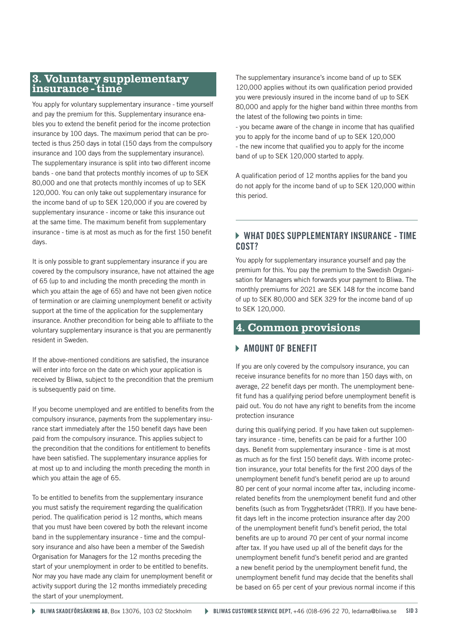# **3. Voluntary supplementary insurance - time**

You apply for voluntary supplementary insurance - time yourself and pay the premium for this. Supplementary insurance enables you to extend the benefit period for the income protection insurance by 100 days. The maximum period that can be protected is thus 250 days in total (150 days from the compulsory insurance and 100 days from the supplementary insurance). The supplementary insurance is split into two different income bands - one band that protects monthly incomes of up to SEK 80,000 and one that protects monthly incomes of up to SEK 120,000. You can only take out supplementary insurance for the income band of up to SEK 120,000 if you are covered by supplementary insurance - income or take this insurance out at the same time. The maximum benefit from supplementary insurance - time is at most as much as for the first 150 benefit days.

It is only possible to grant supplementary insurance if you are covered by the compulsory insurance, have not attained the age of 65 (up to and including the month preceding the month in which you attain the age of 65) and have not been given notice of termination or are claiming unemployment benefit or activity support at the time of the application for the supplementary insurance. Another precondition for being able to affiliate to the voluntary supplementary insurance is that you are permanently resident in Sweden.

If the above-mentioned conditions are satisfied, the insurance will enter into force on the date on which your application is received by Bliwa, subject to the precondition that the premium is subsequently paid on time.

If you become unemployed and are entitled to benefits from the compulsory insurance, payments from the supplementary insurance start immediately after the 150 benefit days have been paid from the compulsory insurance. This applies subject to the precondition that the conditions for entitlement to benefits have been satisfied. The supplementary insurance applies for at most up to and including the month preceding the month in which you attain the age of 65.

To be entitled to benefits from the supplementary insurance you must satisfy the requirement regarding the qualification period. The qualification period is 12 months, which means that you must have been covered by both the relevant income band in the supplementary insurance - time and the compulsory insurance and also have been a member of the Swedish Organisation for Managers for the 12 months preceding the start of your unemployment in order to be entitled to benefits. Nor may you have made any claim for unemployment benefit or activity support during the 12 months immediately preceding the start of your unemployment.

The supplementary insurance's income band of up to SEK 120,000 applies without its own qualification period provided you were previously insured in the income band of up to SEK 80,000 and apply for the higher band within three months from the latest of the following two points in time: - you became aware of the change in income that has qualified you to apply for the income band of up to SEK 120,000 - the new income that qualified you to apply for the income band of up to SEK 120,000 started to apply.

A qualification period of 12 months applies for the band you do not apply for the income band of up to SEK 120,000 within this period.

## WHAT DOES SUPPLEMENTARY INSURANCE - TIME COST?

You apply for supplementary insurance yourself and pay the premium for this. You pay the premium to the Swedish Organisation for Managers which forwards your payment to Bliwa. The monthly premiums for 2021 are SEK 148 for the income band of up to SEK 80,000 and SEK 329 for the income band of up to SEK 120,000.

## **4. Common provisions**

## **AMOUNT OF BENEFIT**

If you are only covered by the compulsory insurance, you can receive insurance benefits for no more than 150 days with, on average, 22 benefit days per month. The unemployment benefit fund has a qualifying period before unemployment benefit is paid out. You do not have any right to benefits from the income protection insurance

during this qualifying period. If you have taken out supplementary insurance - time, benefits can be paid for a further 100 days. Benefit from supplementary insurance - time is at most as much as for the first 150 benefit days. With income protection insurance, your total benefits for the first 200 days of the unemployment benefit fund's benefit period are up to around 80 per cent of your normal income after tax, including incomerelated benefits from the unemployment benefit fund and other benefits (such as from Trygghetsrådet (TRR)). If you have benefit days left in the income protection insurance after day 200 of the unemployment benefit fund's benefit period, the total benefits are up to around 70 per cent of your normal income after tax. If you have used up all of the benefit days for the unemployment benefit fund's benefit period and are granted a new benefit period by the unemployment benefit fund, the unemployment benefit fund may decide that the benefits shall be based on 65 per cent of your previous normal income if this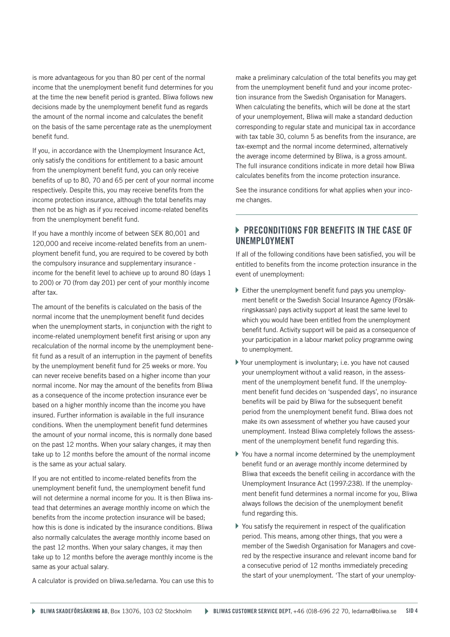is more advantageous for you than 80 per cent of the normal income that the unemployment benefit fund determines for you at the time the new benefit period is granted. Bliwa follows new decisions made by the unemployment benefit fund as regards the amount of the normal income and calculates the benefit on the basis of the same percentage rate as the unemployment benefit fund.

If you, in accordance with the Unemployment Insurance Act, only satisfy the conditions for entitlement to a basic amount from the unemployment benefit fund, you can only receive benefits of up to 80, 70 and 65 per cent of your normal income respectively. Despite this, you may receive benefits from the income protection insurance, although the total benefits may then not be as high as if you received income-related benefits from the unemployment benefit fund.

If you have a monthly income of between SEK 80,001 and 120,000 and receive income-related benefits from an unemployment benefit fund, you are required to be covered by both the compulsory insurance and supplementary insurance income for the benefit level to achieve up to around 80 (days 1 to 200) or 70 (from day 201) per cent of your monthly income after tax.

The amount of the benefits is calculated on the basis of the normal income that the unemployment benefit fund decides when the unemployment starts, in conjunction with the right to income-related unemployment benefit first arising or upon any recalculation of the normal income by the unemployment benefit fund as a result of an interruption in the payment of benefits by the unemployment benefit fund for 25 weeks or more. You can never receive benefits based on a higher income than your normal income. Nor may the amount of the benefits from Bliwa as a consequence of the income protection insurance ever be based on a higher monthly income than the income you have insured. Further information is available in the full insurance conditions. When the unemployment benefit fund determines the amount of your normal income, this is normally done based on the past 12 months. When your salary changes, it may then take up to 12 months before the amount of the normal income is the same as your actual salary.

If you are not entitled to income-related benefits from the unemployment benefit fund, the unemployment benefit fund will not determine a normal income for you. It is then Bliwa instead that determines an average monthly income on which the benefits from the income protection insurance will be based; how this is done is indicated by the insurance conditions. Bliwa also normally calculates the average monthly income based on the past 12 months. When your salary changes, it may then take up to 12 months before the average monthly income is the same as your actual salary.

A calculator is provided on bliwa.se/ledarna. You can use this to

make a preliminary calculation of the total benefits you may get from the unemployment benefit fund and your income protection insurance from the Swedish Organisation for Managers. When calculating the benefits, which will be done at the start of your unemployement, Bliwa will make a standard deduction corresponding to regular state and municipal tax in accordance with tax table 30, column 5 as benefits from the insurance, are tax-exempt and the normal income determined, alternatively the average income determined by Bliwa, is a gross amount. The full insurance conditions indicate in more detail how Bliwa calculates benefits from the income protection insurance.

See the insurance conditions for what applies when your income changes.

## **PRECONDITIONS FOR BENEFITS IN THE CASE OF** UNEMPLOYMENT

If all of the following conditions have been satisfied, you will be entitled to benefits from the income protection insurance in the event of unemployment:

- Either the unemployment benefit fund pays you unemployment benefit or the Swedish Social Insurance Agency (Försäkringskassan) pays activity support at least the same level to which you would have been entitled from the unemployment benefit fund. Activity support will be paid as a consequence of your participation in a labour market policy programme owing to unemployment.
- Your unemployment is involuntary; i.e. you have not caused your unemployment without a valid reason, in the assessment of the unemployment benefit fund. If the unemployment benefit fund decides on 'suspended days', no insurance benefits will be paid by Bliwa for the subsequent benefit period from the unemployment benefit fund. Bliwa does not make its own assessment of whether you have caused your unemployment. Instead Bliwa completely follows the assessment of the unemployment benefit fund regarding this.
- You have a normal income determined by the unemployment benefit fund or an average monthly income determined by Bliwa that exceeds the benefit ceiling in accordance with the Unemployment Insurance Act (1997:238). If the unemployment benefit fund determines a normal income for you, Bliwa always follows the decision of the unemployment benefit fund regarding this.
- You satisfy the requirement in respect of the qualification period. This means, among other things, that you were a member of the Swedish Organisation for Managers and covered by the respective insurance and relevant income band for a consecutive period of 12 months immediately preceding the start of your unemployment. 'The start of your unemploy-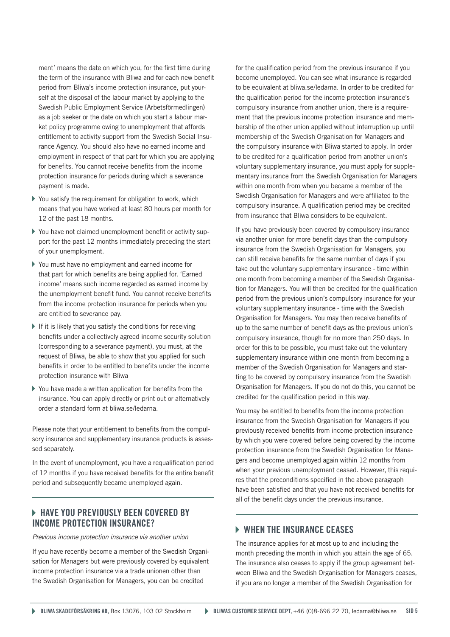ment' means the date on which you, for the first time during the term of the insurance with Bliwa and for each new benefit period from Bliwa's income protection insurance, put yourself at the disposal of the labour market by applying to the Swedish Public Employment Service (Arbetsförmedlingen) as a job seeker or the date on which you start a labour market policy programme owing to unemployment that affords entitlement to activity support from the Swedish Social Insurance Agency. You should also have no earned income and employment in respect of that part for which you are applying for benefits. You cannot receive benefits from the income protection insurance for periods during which a severance payment is made.

- $\triangleright$  You satisfy the requirement for obligation to work, which means that you have worked at least 80 hours per month for 12 of the past 18 months.
- You have not claimed unemployment benefit or activity support for the past 12 months immediately preceding the start of your unemployment.
- You must have no employment and earned income for that part for which benefits are being applied for. 'Earned income' means such income regarded as earned income by the unemployment benefit fund. You cannot receive benefits from the income protection insurance for periods when you are entitled to severance pay.
- $\blacktriangleright$  If it is likely that you satisfy the conditions for receiving benefits under a collectively agreed income security solution (corresponding to a severance payment), you must, at the request of Bliwa, be able to show that you applied for such benefits in order to be entitled to benefits under the income protection insurance with Bliwa
- You have made a written application for benefits from the insurance. You can apply directly or print out or alternatively order a standard form at bliwa.se/ledarna.

Please note that your entitlement to benefits from the compulsory insurance and supplementary insurance products is assessed separately.

In the event of unemployment, you have a requalification period of 12 months if you have received benefits for the entire benefit period and subsequently became unemployed again.

## **EXT HAVE YOU PREVIOUSLY BEEN COVERED BY** INCOME PROTECTION INSURANCE?

*Previous income protection insurance via another union*

If you have recently become a member of the Swedish Organisation for Managers but were previously covered by equivalent income protection insurance via a trade unionen other than the Swedish Organisation for Managers, you can be credited

for the qualification period from the previous insurance if you become unemployed. You can see what insurance is regarded to be equivalent at bliwa.se/ledarna. In order to be credited for the qualification period for the income protection insurance's compulsory insurance from another union, there is a requirement that the previous income protection insurance and membership of the other union applied without interruption up until membership of the Swedish Organisation for Managers and the compulsory insurance with Bliwa started to apply. In order to be credited for a qualification period from another union's voluntary supplementary insurance, you must apply for supplementary insurance from the Swedish Organisation for Managers within one month from when you became a member of the Swedish Organisation for Managers and were affiliated to the compulsory insurance. A qualification period may be credited from insurance that Bliwa considers to be equivalent.

If you have previously been covered by compulsory insurance via another union for more benefit days than the compulsory insurance from the Swedish Organisation for Managers, you can still receive benefits for the same number of days if you take out the voluntary supplementary insurance - time within one month from becoming a member of the Swedish Organisation for Managers. You will then be credited for the qualification period from the previous union's compulsory insurance for your voluntary supplementary insurance - time with the Swedish Organisation for Managers. You may then receive benefits of up to the same number of benefit days as the previous union's compulsory insurance, though for no more than 250 days. In order for this to be possible, you must take out the voluntary supplementary insurance within one month from becoming a member of the Swedish Organisation for Managers and starting to be covered by compulsory insurance from the Swedish Organisation for Managers. If you do not do this, you cannot be credited for the qualification period in this way.

You may be entitled to benefits from the income protection insurance from the Swedish Organisation for Managers if you previously received benefits from income protection insurance by which you were covered before being covered by the income protection insurance from the Swedish Organisation for Managers and become unemployed again within 12 months from when your previous unemployment ceased. However, this requires that the preconditions specified in the above paragraph have been satisfied and that you have not received benefits for all of the benefit days under the previous insurance.

## **WHEN THE INSURANCE CEASES**

The insurance applies for at most up to and including the month preceding the month in which you attain the age of 65. The insurance also ceases to apply if the group agreement between Bliwa and the Swedish Organisation for Managers ceases, if you are no longer a member of the Swedish Organisation for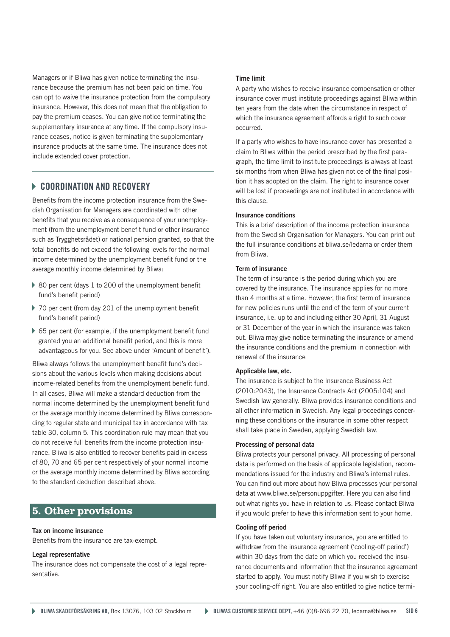Managers or if Bliwa has given notice terminating the insurance because the premium has not been paid on time. You can opt to waive the insurance protection from the compulsory insurance. However, this does not mean that the obligation to pay the premium ceases. You can give notice terminating the supplementary insurance at any time. If the compulsory insurance ceases, notice is given terminating the supplementary insurance products at the same time. The insurance does not include extended cover protection.

## **EQORDINATION AND RECOVERY**

Benefits from the income protection insurance from the Swedish Organisation for Managers are coordinated with other benefits that you receive as a consequence of your unemployment (from the unemployment benefit fund or other insurance such as Trygghetsrådet) or national pension granted, so that the total benefits do not exceed the following levels for the normal income determined by the unemployment benefit fund or the average monthly income determined by Bliwa:

- ▶ 80 per cent (days 1 to 200 of the unemployment benefit fund's benefit period)
- ▶ 70 per cent (from day 201 of the unemployment benefit fund's benefit period)
- ▶ 65 per cent (for example, if the unemployment benefit fund granted you an additional benefit period, and this is more advantageous for you. See above under 'Amount of benefit').

Bliwa always follows the unemployment benefit fund's decisions about the various levels when making decisions about income-related benefits from the unemployment benefit fund. In all cases, Bliwa will make a standard deduction from the normal income determined by the unemployment benefit fund or the average monthly income determined by Bliwa corresponding to regular state and municipal tax in accordance with tax table 30, column 5. This coordination rule may mean that you do not receive full benefits from the income protection insurance. Bliwa is also entitled to recover benefits paid in excess of 80, 70 and 65 per cent respectively of your normal income or the average monthly income determined by Bliwa according to the standard deduction described above.

## **5. Other provisions**

#### Tax on income insurance

Benefits from the insurance are tax-exempt.

#### Legal representative

The insurance does not compensate the cost of a legal representative.

#### Time limit

A party who wishes to receive insurance compensation or other insurance cover must institute proceedings against Bliwa within ten years from the date when the circumstance in respect of which the insurance agreement affords a right to such cover occurred.

If a party who wishes to have insurance cover has presented a claim to Bliwa within the period prescribed by the first paragraph, the time limit to institute proceedings is always at least six months from when Bliwa has given notice of the final position it has adopted on the claim. The right to insurance cover will be lost if proceedings are not instituted in accordance with this clause.

#### Insurance conditions

This is a brief description of the income protection insurance from the Swedish Organisation for Managers. You can print out the full insurance conditions at bliwa.se/ledarna or order them from Bliwa.

#### Term of insurance

The term of insurance is the period during which you are covered by the insurance. The insurance applies for no more than 4 months at a time. However, the first term of insurance for new policies runs until the end of the term of your current insurance, i.e. up to and including either 30 April, 31 August or 31 December of the year in which the insurance was taken out. Bliwa may give notice terminating the insurance or amend the insurance conditions and the premium in connection with renewal of the insurance

#### Applicable law, etc.

The insurance is subject to the Insurance Business Act (2010:2043), the Insurance Contracts Act (2005:104) and Swedish law generally. Bliwa provides insurance conditions and all other information in Swedish. Any legal proceedings concerning these conditions or the insurance in some other respect shall take place in Sweden, applying Swedish law.

#### Processing of personal data

Bliwa protects your personal privacy. All processing of personal data is performed on the basis of applicable legislation, recommendations issued for the industry and Bliwa's internal rules. You can find out more about how Bliwa processes your personal data at www.bliwa.se/personuppgifter. Here you can also find out what rights you have in relation to us. Please contact Bliwa if you would prefer to have this information sent to your home.

#### Cooling off period

If you have taken out voluntary insurance, you are entitled to withdraw from the insurance agreement ('cooling-off period') within 30 days from the date on which you received the insurance documents and information that the insurance agreement started to apply. You must notify Bliwa if you wish to exercise your cooling-off right. You are also entitled to give notice termi